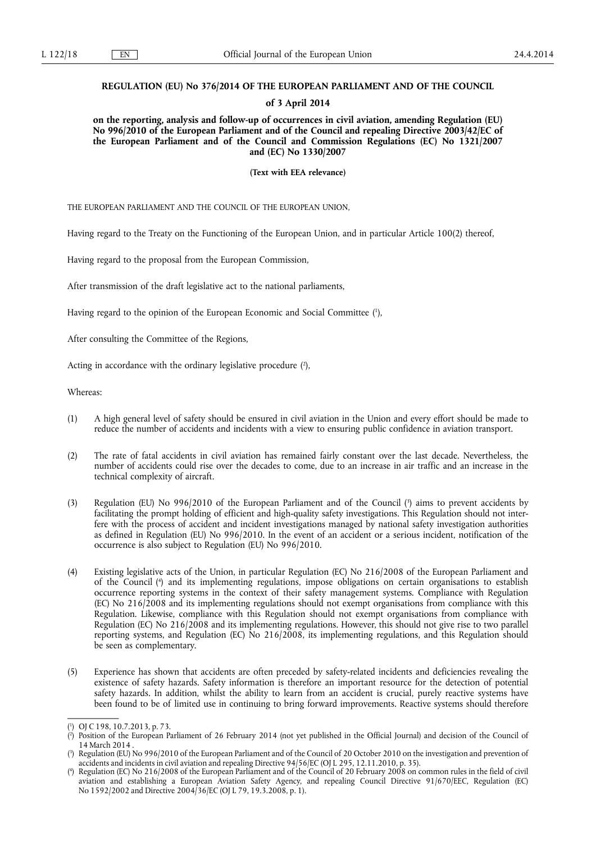## **REGULATION (EU) No 376/2014 OF THE EUROPEAN PARLIAMENT AND OF THE COUNCIL**

### **of 3 April 2014**

**on the reporting, analysis and follow-up of occurrences in civil aviation, amending Regulation (EU) No 996/2010 of the European Parliament and of the Council and repealing Directive 2003/42/EC of the European Parliament and of the Council and Commission Regulations (EC) No 1321/2007 and (EC) No 1330/2007** 

**(Text with EEA relevance)** 

THE EUROPEAN PARLIAMENT AND THE COUNCIL OF THE EUROPEAN UNION,

Having regard to the Treaty on the Functioning of the European Union, and in particular Article 100(2) thereof,

Having regard to the proposal from the European Commission,

After transmission of the draft legislative act to the national parliaments,

Having regard to the opinion of the European Economic and Social Committee ( 1 ),

After consulting the Committee of the Regions,

Acting in accordance with the ordinary legislative procedure (2),

Whereas:

- (1) A high general level of safety should be ensured in civil aviation in the Union and every effort should be made to reduce the number of accidents and incidents with a view to ensuring public confidence in aviation transport.
- (2) The rate of fatal accidents in civil aviation has remained fairly constant over the last decade. Nevertheless, the number of accidents could rise over the decades to come, due to an increase in air traffic and an increase in the technical complexity of aircraft.
- (3) Regulation (EU) No 996/2010 of the European Parliament and of the Council ( 3 ) aims to prevent accidents by facilitating the prompt holding of efficient and high-quality safety investigations. This Regulation should not interfere with the process of accident and incident investigations managed by national safety investigation authorities as defined in Regulation (EU) No 996/2010. In the event of an accident or a serious incident, notification of the occurrence is also subject to Regulation (EU) No 996/2010.
- (4) Existing legislative acts of the Union, in particular Regulation (EC) No 216/2008 of the European Parliament and of the Council ( 4 ) and its implementing regulations, impose obligations on certain organisations to establish occurrence reporting systems in the context of their safety management systems. Compliance with Regulation (EC) No 216/2008 and its implementing regulations should not exempt organisations from compliance with this Regulation. Likewise, compliance with this Regulation should not exempt organisations from compliance with Regulation (EC) No 216/2008 and its implementing regulations. However, this should not give rise to two parallel reporting systems, and Regulation (EC) No 216/2008, its implementing regulations, and this Regulation should be seen as complementary.
- (5) Experience has shown that accidents are often preceded by safety-related incidents and deficiencies revealing the existence of safety hazards. Safety information is therefore an important resource for the detection of potential safety hazards. In addition, whilst the ability to learn from an accident is crucial, purely reactive systems have been found to be of limited use in continuing to bring forward improvements. Reactive systems should therefore

<sup>(</sup> 1 ) OJ C 198, 10.7.2013, p. 73.

<sup>(</sup> 2 Position of the European Parliament of 26 February 2014 (not yet published in the Official Journal) and decision of the Council of 14 March 2014 .

<sup>(</sup> 3 ) Regulation (EU) No 996/2010 of the European Parliament and of the Council of 20 October 2010 on the investigation and prevention of accidents and incidents in civil aviation and repealing Directive 94/56/EC (OJ L 295, 12.11.2010, p. 35).

<sup>(</sup> 4 ) Regulation (EC) No 216/2008 of the European Parliament and of the Council of 20 February 2008 on common rules in the field of civil aviation and establishing a European Aviation Safety Agency, and repealing Council Directive 91/670/EEC, Regulation (EC) No 1592/2002 and Directive 2004/36/EC (OJ L 79, 19.3.2008, p. 1).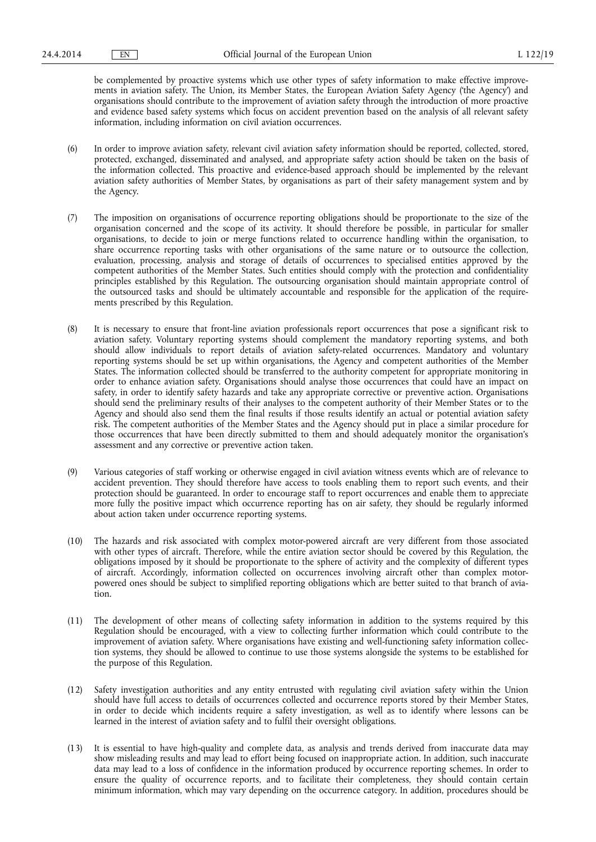be complemented by proactive systems which use other types of safety information to make effective improvements in aviation safety. The Union, its Member States, the European Aviation Safety Agency ('the Agency') and organisations should contribute to the improvement of aviation safety through the introduction of more proactive and evidence based safety systems which focus on accident prevention based on the analysis of all relevant safety information, including information on civil aviation occurrences.

- (6) In order to improve aviation safety, relevant civil aviation safety information should be reported, collected, stored, protected, exchanged, disseminated and analysed, and appropriate safety action should be taken on the basis of the information collected. This proactive and evidence-based approach should be implemented by the relevant aviation safety authorities of Member States, by organisations as part of their safety management system and by the Agency.
- (7) The imposition on organisations of occurrence reporting obligations should be proportionate to the size of the organisation concerned and the scope of its activity. It should therefore be possible, in particular for smaller organisations, to decide to join or merge functions related to occurrence handling within the organisation, to share occurrence reporting tasks with other organisations of the same nature or to outsource the collection, evaluation, processing, analysis and storage of details of occurrences to specialised entities approved by the competent authorities of the Member States. Such entities should comply with the protection and confidentiality principles established by this Regulation. The outsourcing organisation should maintain appropriate control of the outsourced tasks and should be ultimately accountable and responsible for the application of the requirements prescribed by this Regulation.
- (8) It is necessary to ensure that front-line aviation professionals report occurrences that pose a significant risk to aviation safety. Voluntary reporting systems should complement the mandatory reporting systems, and both should allow individuals to report details of aviation safety-related occurrences. Mandatory and voluntary reporting systems should be set up within organisations, the Agency and competent authorities of the Member States. The information collected should be transferred to the authority competent for appropriate monitoring in order to enhance aviation safety. Organisations should analyse those occurrences that could have an impact on safety, in order to identify safety hazards and take any appropriate corrective or preventive action. Organisations should send the preliminary results of their analyses to the competent authority of their Member States or to the Agency and should also send them the final results if those results identify an actual or potential aviation safety risk. The competent authorities of the Member States and the Agency should put in place a similar procedure for those occurrences that have been directly submitted to them and should adequately monitor the organisation's assessment and any corrective or preventive action taken.
- (9) Various categories of staff working or otherwise engaged in civil aviation witness events which are of relevance to accident prevention. They should therefore have access to tools enabling them to report such events, and their protection should be guaranteed. In order to encourage staff to report occurrences and enable them to appreciate more fully the positive impact which occurrence reporting has on air safety, they should be regularly informed about action taken under occurrence reporting systems.
- (10) The hazards and risk associated with complex motor-powered aircraft are very different from those associated with other types of aircraft. Therefore, while the entire aviation sector should be covered by this Regulation, the obligations imposed by it should be proportionate to the sphere of activity and the complexity of different types of aircraft. Accordingly, information collected on occurrences involving aircraft other than complex motorpowered ones should be subject to simplified reporting obligations which are better suited to that branch of aviation.
- (11) The development of other means of collecting safety information in addition to the systems required by this Regulation should be encouraged, with a view to collecting further information which could contribute to the improvement of aviation safety. Where organisations have existing and well-functioning safety information collection systems, they should be allowed to continue to use those systems alongside the systems to be established for the purpose of this Regulation.
- (12) Safety investigation authorities and any entity entrusted with regulating civil aviation safety within the Union should have full access to details of occurrences collected and occurrence reports stored by their Member States, in order to decide which incidents require a safety investigation, as well as to identify where lessons can be learned in the interest of aviation safety and to fulfil their oversight obligations.
- (13) It is essential to have high-quality and complete data, as analysis and trends derived from inaccurate data may show misleading results and may lead to effort being focused on inappropriate action. In addition, such inaccurate data may lead to a loss of confidence in the information produced by occurrence reporting schemes. In order to ensure the quality of occurrence reports, and to facilitate their completeness, they should contain certain minimum information, which may vary depending on the occurrence category. In addition, procedures should be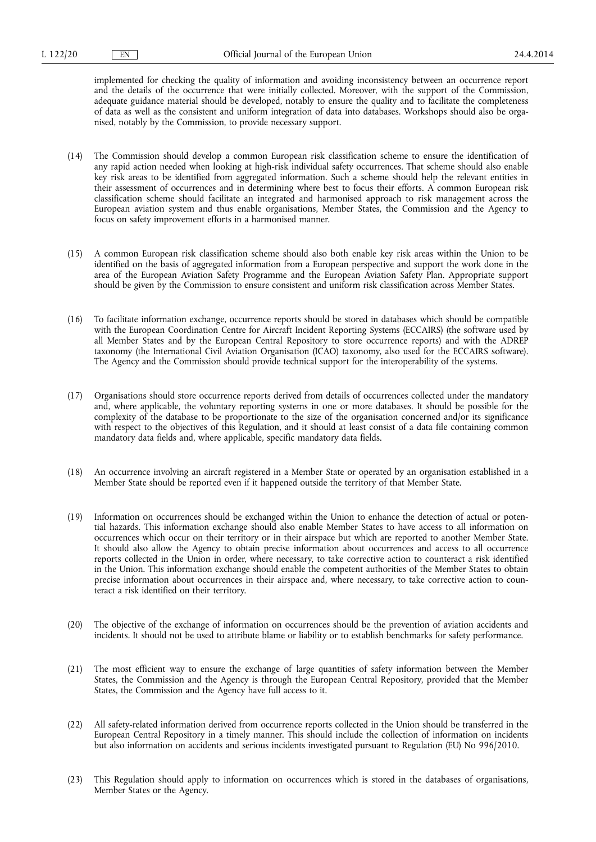implemented for checking the quality of information and avoiding inconsistency between an occurrence report and the details of the occurrence that were initially collected. Moreover, with the support of the Commission, adequate guidance material should be developed, notably to ensure the quality and to facilitate the completeness of data as well as the consistent and uniform integration of data into databases. Workshops should also be organised, notably by the Commission, to provide necessary support.

- (14) The Commission should develop a common European risk classification scheme to ensure the identification of any rapid action needed when looking at high-risk individual safety occurrences. That scheme should also enable key risk areas to be identified from aggregated information. Such a scheme should help the relevant entities in their assessment of occurrences and in determining where best to focus their efforts. A common European risk classification scheme should facilitate an integrated and harmonised approach to risk management across the European aviation system and thus enable organisations, Member States, the Commission and the Agency to focus on safety improvement efforts in a harmonised manner.
- (15) A common European risk classification scheme should also both enable key risk areas within the Union to be identified on the basis of aggregated information from a European perspective and support the work done in the area of the European Aviation Safety Programme and the European Aviation Safety Plan. Appropriate support should be given by the Commission to ensure consistent and uniform risk classification across Member States.
- (16) To facilitate information exchange, occurrence reports should be stored in databases which should be compatible with the European Coordination Centre for Aircraft Incident Reporting Systems (ECCAIRS) (the software used by all Member States and by the European Central Repository to store occurrence reports) and with the ADREP taxonomy (the International Civil Aviation Organisation (ICAO) taxonomy, also used for the ECCAIRS software). The Agency and the Commission should provide technical support for the interoperability of the systems.
- (17) Organisations should store occurrence reports derived from details of occurrences collected under the mandatory and, where applicable, the voluntary reporting systems in one or more databases. It should be possible for the complexity of the database to be proportionate to the size of the organisation concerned and/or its significance with respect to the objectives of this Regulation, and it should at least consist of a data file containing common mandatory data fields and, where applicable, specific mandatory data fields.
- (18) An occurrence involving an aircraft registered in a Member State or operated by an organisation established in a Member State should be reported even if it happened outside the territory of that Member State.
- (19) Information on occurrences should be exchanged within the Union to enhance the detection of actual or potential hazards. This information exchange should also enable Member States to have access to all information on occurrences which occur on their territory or in their airspace but which are reported to another Member State. It should also allow the Agency to obtain precise information about occurrences and access to all occurrence reports collected in the Union in order, where necessary, to take corrective action to counteract a risk identified in the Union. This information exchange should enable the competent authorities of the Member States to obtain precise information about occurrences in their airspace and, where necessary, to take corrective action to counteract a risk identified on their territory.
- (20) The objective of the exchange of information on occurrences should be the prevention of aviation accidents and incidents. It should not be used to attribute blame or liability or to establish benchmarks for safety performance.
- (21) The most efficient way to ensure the exchange of large quantities of safety information between the Member States, the Commission and the Agency is through the European Central Repository, provided that the Member States, the Commission and the Agency have full access to it.
- (22) All safety-related information derived from occurrence reports collected in the Union should be transferred in the European Central Repository in a timely manner. This should include the collection of information on incidents but also information on accidents and serious incidents investigated pursuant to Regulation (EU) No 996/2010.
- (23) This Regulation should apply to information on occurrences which is stored in the databases of organisations, Member States or the Agency.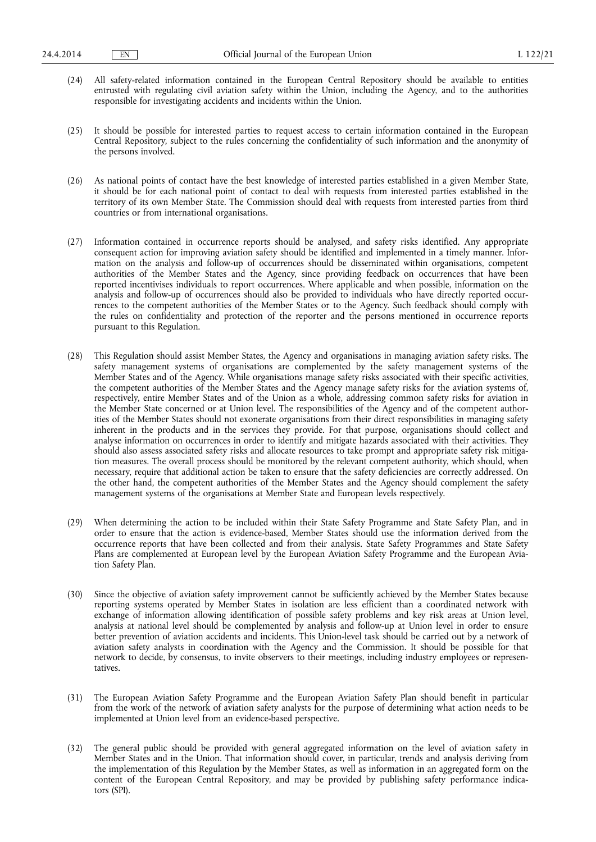- (24) All safety-related information contained in the European Central Repository should be available to entities entrusted with regulating civil aviation safety within the Union, including the Agency, and to the authorities responsible for investigating accidents and incidents within the Union.
- (25) It should be possible for interested parties to request access to certain information contained in the European Central Repository, subject to the rules concerning the confidentiality of such information and the anonymity of the persons involved.
- (26) As national points of contact have the best knowledge of interested parties established in a given Member State, it should be for each national point of contact to deal with requests from interested parties established in the territory of its own Member State. The Commission should deal with requests from interested parties from third countries or from international organisations.
- (27) Information contained in occurrence reports should be analysed, and safety risks identified. Any appropriate consequent action for improving aviation safety should be identified and implemented in a timely manner. Information on the analysis and follow-up of occurrences should be disseminated within organisations, competent authorities of the Member States and the Agency, since providing feedback on occurrences that have been reported incentivises individuals to report occurrences. Where applicable and when possible, information on the analysis and follow-up of occurrences should also be provided to individuals who have directly reported occurrences to the competent authorities of the Member States or to the Agency. Such feedback should comply with the rules on confidentiality and protection of the reporter and the persons mentioned in occurrence reports pursuant to this Regulation.
- (28) This Regulation should assist Member States, the Agency and organisations in managing aviation safety risks. The safety management systems of organisations are complemented by the safety management systems of the Member States and of the Agency. While organisations manage safety risks associated with their specific activities, the competent authorities of the Member States and the Agency manage safety risks for the aviation systems of, respectively, entire Member States and of the Union as a whole, addressing common safety risks for aviation in the Member State concerned or at Union level. The responsibilities of the Agency and of the competent authorities of the Member States should not exonerate organisations from their direct responsibilities in managing safety inherent in the products and in the services they provide. For that purpose, organisations should collect and analyse information on occurrences in order to identify and mitigate hazards associated with their activities. They should also assess associated safety risks and allocate resources to take prompt and appropriate safety risk mitigation measures. The overall process should be monitored by the relevant competent authority, which should, when necessary, require that additional action be taken to ensure that the safety deficiencies are correctly addressed. On the other hand, the competent authorities of the Member States and the Agency should complement the safety management systems of the organisations at Member State and European levels respectively.
- (29) When determining the action to be included within their State Safety Programme and State Safety Plan, and in order to ensure that the action is evidence-based, Member States should use the information derived from the occurrence reports that have been collected and from their analysis. State Safety Programmes and State Safety Plans are complemented at European level by the European Aviation Safety Programme and the European Aviation Safety Plan.
- (30) Since the objective of aviation safety improvement cannot be sufficiently achieved by the Member States because reporting systems operated by Member States in isolation are less efficient than a coordinated network with exchange of information allowing identification of possible safety problems and key risk areas at Union level, analysis at national level should be complemented by analysis and follow-up at Union level in order to ensure better prevention of aviation accidents and incidents. This Union-level task should be carried out by a network of aviation safety analysts in coordination with the Agency and the Commission. It should be possible for that network to decide, by consensus, to invite observers to their meetings, including industry employees or representatives.
- (31) The European Aviation Safety Programme and the European Aviation Safety Plan should benefit in particular from the work of the network of aviation safety analysts for the purpose of determining what action needs to be implemented at Union level from an evidence-based perspective.
- (32) The general public should be provided with general aggregated information on the level of aviation safety in Member States and in the Union. That information should cover, in particular, trends and analysis deriving from the implementation of this Regulation by the Member States, as well as information in an aggregated form on the content of the European Central Repository, and may be provided by publishing safety performance indicators (SPI).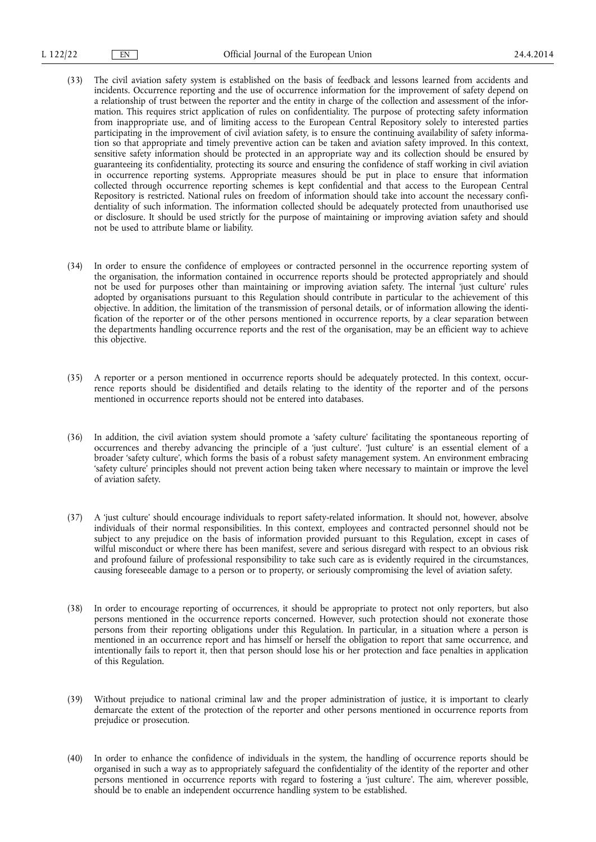- (33) The civil aviation safety system is established on the basis of feedback and lessons learned from accidents and incidents. Occurrence reporting and the use of occurrence information for the improvement of safety depend on a relationship of trust between the reporter and the entity in charge of the collection and assessment of the information. This requires strict application of rules on confidentiality. The purpose of protecting safety information from inappropriate use, and of limiting access to the European Central Repository solely to interested parties participating in the improvement of civil aviation safety, is to ensure the continuing availability of safety information so that appropriate and timely preventive action can be taken and aviation safety improved. In this context, sensitive safety information should be protected in an appropriate way and its collection should be ensured by guaranteeing its confidentiality, protecting its source and ensuring the confidence of staff working in civil aviation in occurrence reporting systems. Appropriate measures should be put in place to ensure that information collected through occurrence reporting schemes is kept confidential and that access to the European Central Repository is restricted. National rules on freedom of information should take into account the necessary confidentiality of such information. The information collected should be adequately protected from unauthorised use or disclosure. It should be used strictly for the purpose of maintaining or improving aviation safety and should not be used to attribute blame or liability.
- (34) In order to ensure the confidence of employees or contracted personnel in the occurrence reporting system of the organisation, the information contained in occurrence reports should be protected appropriately and should not be used for purposes other than maintaining or improving aviation safety. The internal 'just culture' rules adopted by organisations pursuant to this Regulation should contribute in particular to the achievement of this objective. In addition, the limitation of the transmission of personal details, or of information allowing the identification of the reporter or of the other persons mentioned in occurrence reports, by a clear separation between the departments handling occurrence reports and the rest of the organisation, may be an efficient way to achieve this objective.
- (35) A reporter or a person mentioned in occurrence reports should be adequately protected. In this context, occurrence reports should be disidentified and details relating to the identity of the reporter and of the persons mentioned in occurrence reports should not be entered into databases.
- (36) In addition, the civil aviation system should promote a 'safety culture' facilitating the spontaneous reporting of occurrences and thereby advancing the principle of a 'just culture'. 'Just culture' is an essential element of a broader 'safety culture', which forms the basis of a robust safety management system. An environment embracing 'safety culture' principles should not prevent action being taken where necessary to maintain or improve the level of aviation safety.
- (37) A 'just culture' should encourage individuals to report safety-related information. It should not, however, absolve individuals of their normal responsibilities. In this context, employees and contracted personnel should not be subject to any prejudice on the basis of information provided pursuant to this Regulation, except in cases of wilful misconduct or where there has been manifest, severe and serious disregard with respect to an obvious risk and profound failure of professional responsibility to take such care as is evidently required in the circumstances, causing foreseeable damage to a person or to property, or seriously compromising the level of aviation safety.
- (38) In order to encourage reporting of occurrences, it should be appropriate to protect not only reporters, but also persons mentioned in the occurrence reports concerned. However, such protection should not exonerate those persons from their reporting obligations under this Regulation. In particular, in a situation where a person is mentioned in an occurrence report and has himself or herself the obligation to report that same occurrence, and intentionally fails to report it, then that person should lose his or her protection and face penalties in application of this Regulation.
- (39) Without prejudice to national criminal law and the proper administration of justice, it is important to clearly demarcate the extent of the protection of the reporter and other persons mentioned in occurrence reports from prejudice or prosecution.
- (40) In order to enhance the confidence of individuals in the system, the handling of occurrence reports should be organised in such a way as to appropriately safeguard the confidentiality of the identity of the reporter and other persons mentioned in occurrence reports with regard to fostering a 'just culture'. The aim, wherever possible, should be to enable an independent occurrence handling system to be established.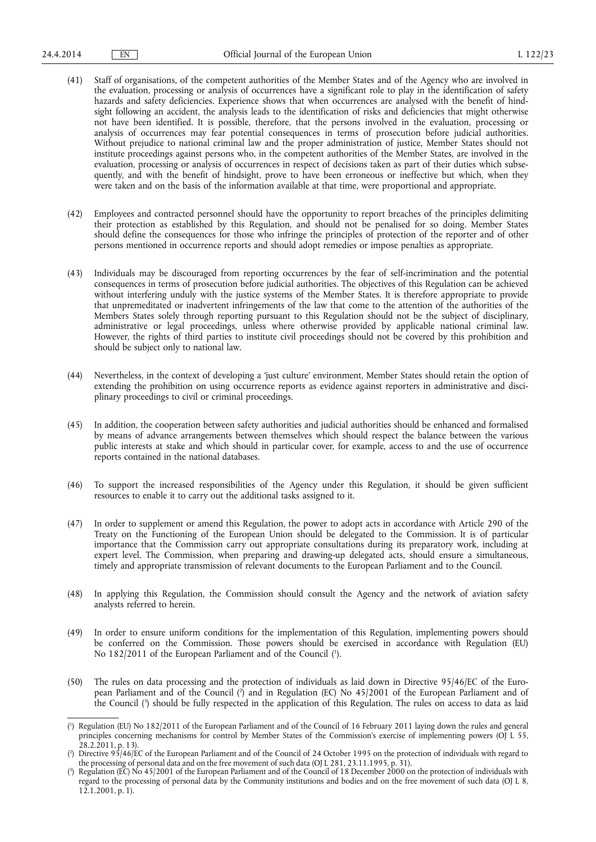- (41) Staff of organisations, of the competent authorities of the Member States and of the Agency who are involved in the evaluation, processing or analysis of occurrences have a significant role to play in the identification of safety hazards and safety deficiencies. Experience shows that when occurrences are analysed with the benefit of hindsight following an accident, the analysis leads to the identification of risks and deficiencies that might otherwise not have been identified. It is possible, therefore, that the persons involved in the evaluation, processing or analysis of occurrences may fear potential consequences in terms of prosecution before judicial authorities. Without prejudice to national criminal law and the proper administration of justice, Member States should not institute proceedings against persons who, in the competent authorities of the Member States, are involved in the evaluation, processing or analysis of occurrences in respect of decisions taken as part of their duties which subsequently, and with the benefit of hindsight, prove to have been erroneous or ineffective but which, when they were taken and on the basis of the information available at that time, were proportional and appropriate.
- (42) Employees and contracted personnel should have the opportunity to report breaches of the principles delimiting their protection as established by this Regulation, and should not be penalised for so doing. Member States should define the consequences for those who infringe the principles of protection of the reporter and of other persons mentioned in occurrence reports and should adopt remedies or impose penalties as appropriate.
- (43) Individuals may be discouraged from reporting occurrences by the fear of self-incrimination and the potential consequences in terms of prosecution before judicial authorities. The objectives of this Regulation can be achieved without interfering unduly with the justice systems of the Member States. It is therefore appropriate to provide that unpremeditated or inadvertent infringements of the law that come to the attention of the authorities of the Members States solely through reporting pursuant to this Regulation should not be the subject of disciplinary, administrative or legal proceedings, unless where otherwise provided by applicable national criminal law. However, the rights of third parties to institute civil proceedings should not be covered by this prohibition and should be subject only to national law.
- (44) Nevertheless, in the context of developing a 'just culture' environment, Member States should retain the option of extending the prohibition on using occurrence reports as evidence against reporters in administrative and disciplinary proceedings to civil or criminal proceedings.
- (45) In addition, the cooperation between safety authorities and judicial authorities should be enhanced and formalised by means of advance arrangements between themselves which should respect the balance between the various public interests at stake and which should in particular cover, for example, access to and the use of occurrence reports contained in the national databases.
- (46) To support the increased responsibilities of the Agency under this Regulation, it should be given sufficient resources to enable it to carry out the additional tasks assigned to it.
- (47) In order to supplement or amend this Regulation, the power to adopt acts in accordance with Article 290 of the Treaty on the Functioning of the European Union should be delegated to the Commission. It is of particular importance that the Commission carry out appropriate consultations during its preparatory work, including at expert level. The Commission, when preparing and drawing-up delegated acts, should ensure a simultaneous, timely and appropriate transmission of relevant documents to the European Parliament and to the Council.
- (48) In applying this Regulation, the Commission should consult the Agency and the network of aviation safety analysts referred to herein.
- (49) In order to ensure uniform conditions for the implementation of this Regulation, implementing powers should be conferred on the Commission. Those powers should be exercised in accordance with Regulation (EU) No 182/2011 of the European Parliament and of the Council ( 1 ).
- (50) The rules on data processing and the protection of individuals as laid down in Directive 95/46/EC of the European Parliament and of the Council ( 2 ) and in Regulation (EC) No 45/2001 of the European Parliament and of the Council ( 3 ) should be fully respected in the application of this Regulation. The rules on access to data as laid

<sup>(</sup> 1 ) Regulation (EU) No 182/2011 of the European Parliament and of the Council of 16 February 2011 laying down the rules and general principles concerning mechanisms for control by Member States of the Commission's exercise of implementing powers (OJ L 55, 28.2.2011, p. 13).

<sup>(</sup> 2 ) Directive 95/46/EC of the European Parliament and of the Council of 24 October 1995 on the protection of individuals with regard to the processing of personal data and on the free movement of such data (OJ L 281, 23.11.1995, p. 31).

<sup>(</sup> 3 ) Regulation (EC) No 45/2001 of the European Parliament and of the Council of 18 December 2000 on the protection of individuals with regard to the processing of personal data by the Community institutions and bodies and on the free movement of such data (OJ L 8, 12.1.2001, p. 1).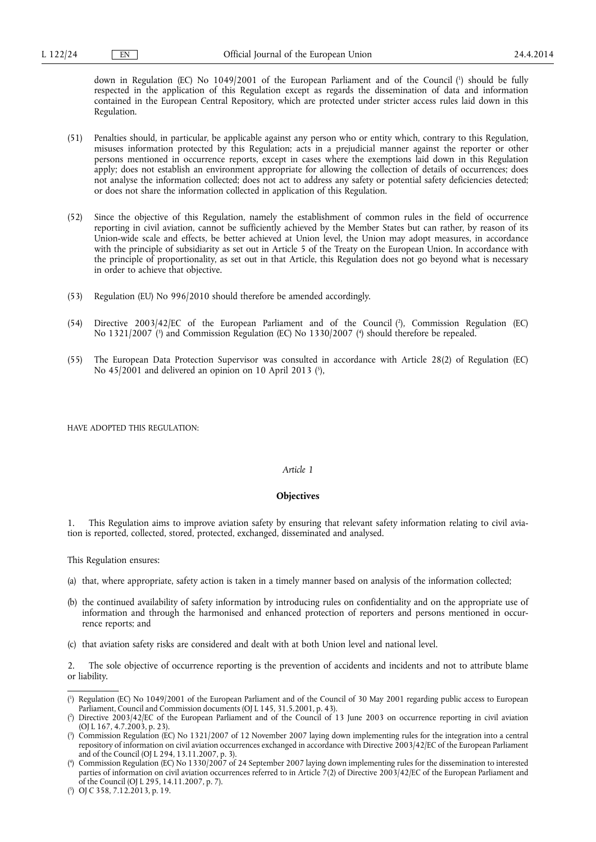down in Regulation (EC) No 1049/2001 of the European Parliament and of the Council ( 1 ) should be fully respected in the application of this Regulation except as regards the dissemination of data and information contained in the European Central Repository, which are protected under stricter access rules laid down in this Regulation.

- (51) Penalties should, in particular, be applicable against any person who or entity which, contrary to this Regulation, misuses information protected by this Regulation; acts in a prejudicial manner against the reporter or other persons mentioned in occurrence reports, except in cases where the exemptions laid down in this Regulation apply; does not establish an environment appropriate for allowing the collection of details of occurrences; does not analyse the information collected; does not act to address any safety or potential safety deficiencies detected; or does not share the information collected in application of this Regulation.
- (52) Since the objective of this Regulation, namely the establishment of common rules in the field of occurrence reporting in civil aviation, cannot be sufficiently achieved by the Member States but can rather, by reason of its Union-wide scale and effects, be better achieved at Union level, the Union may adopt measures, in accordance with the principle of subsidiarity as set out in Article 5 of the Treaty on the European Union. In accordance with the principle of proportionality, as set out in that Article, this Regulation does not go beyond what is necessary in order to achieve that objective.
- (53) Regulation (EU) No 996/2010 should therefore be amended accordingly.
- (54) Directive 2003/42/EC of the European Parliament and of the Council ( 2 ), Commission Regulation (EC) No 1321/2007 ( 3 ) and Commission Regulation (EC) No 1330/2007 ( 4 ) should therefore be repealed.
- (55) The European Data Protection Supervisor was consulted in accordance with Article 28(2) of Regulation (EC) No 45/2001 and delivered an opinion on 10 April 2013 ( 5 ),

HAVE ADOPTED THIS REGULATION:

## *Article 1*

## **Objectives**

1. This Regulation aims to improve aviation safety by ensuring that relevant safety information relating to civil aviation is reported, collected, stored, protected, exchanged, disseminated and analysed.

This Regulation ensures:

- (a) that, where appropriate, safety action is taken in a timely manner based on analysis of the information collected;
- (b) the continued availability of safety information by introducing rules on confidentiality and on the appropriate use of information and through the harmonised and enhanced protection of reporters and persons mentioned in occurrence reports; and
- (c) that aviation safety risks are considered and dealt with at both Union level and national level.

2. The sole objective of occurrence reporting is the prevention of accidents and incidents and not to attribute blame or liability.

<sup>(</sup> 1 ) Regulation (EC) No 1049/2001 of the European Parliament and of the Council of 30 May 2001 regarding public access to European Parliament, Council and Commission documents (OJ L 145, 31.5.2001, p. 43).

<sup>(</sup> 2 ) Directive 2003/42/EC of the European Parliament and of the Council of 13 June 2003 on occurrence reporting in civil aviation (OJ L 167, 4.7.2003, p. 23).

<sup>(</sup> 3 ) Commission Regulation (EC) No 1321/2007 of 12 November 2007 laying down implementing rules for the integration into a central repository of information on civil aviation occurrences exchanged in accordance with Directive 2003/42/EC of the European Parliament and of the Council (OJ L 294, 13.11.2007, p. 3).

<sup>(</sup> 4 ) Commission Regulation (EC) No 1330/2007 of 24 September 2007 laying down implementing rules for the dissemination to interested parties of information on civil aviation occurrences referred to in Article 7(2) of Directive 2003/42/EC of the European Parliament and of the Council (OJ L 295, 14.11.2007, p. 7).

<sup>(</sup> 5 ) OJ C 358, 7.12.2013, p. 19.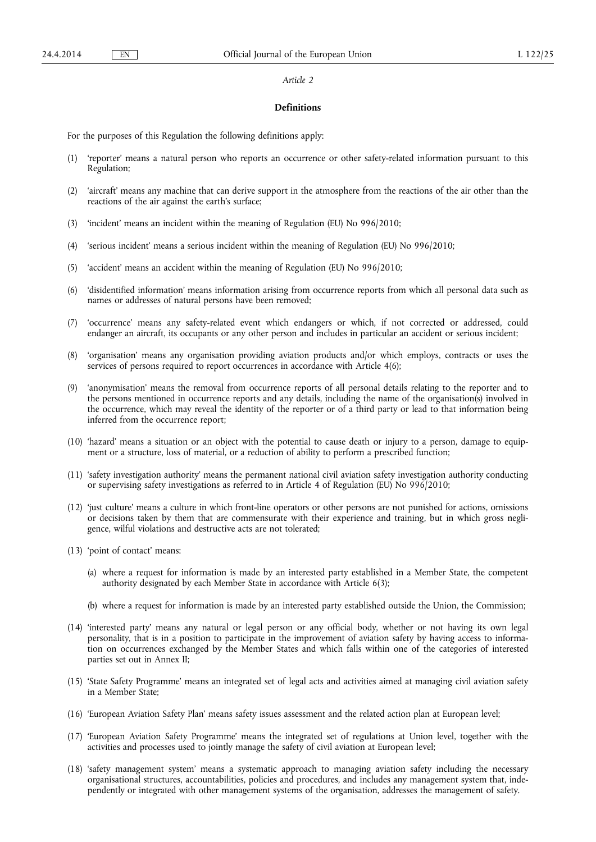### **Definitions**

For the purposes of this Regulation the following definitions apply:

- (1) 'reporter' means a natural person who reports an occurrence or other safety-related information pursuant to this Regulation;
- (2) 'aircraft' means any machine that can derive support in the atmosphere from the reactions of the air other than the reactions of the air against the earth's surface;
- (3) 'incident' means an incident within the meaning of Regulation (EU) No 996/2010;
- (4) 'serious incident' means a serious incident within the meaning of Regulation (EU) No 996/2010;
- (5) 'accident' means an accident within the meaning of Regulation (EU) No 996/2010;
- (6) 'disidentified information' means information arising from occurrence reports from which all personal data such as names or addresses of natural persons have been removed;
- (7) 'occurrence' means any safety-related event which endangers or which, if not corrected or addressed, could endanger an aircraft, its occupants or any other person and includes in particular an accident or serious incident;
- (8) 'organisation' means any organisation providing aviation products and/or which employs, contracts or uses the services of persons required to report occurrences in accordance with Article 4(6);
- (9) 'anonymisation' means the removal from occurrence reports of all personal details relating to the reporter and to the persons mentioned in occurrence reports and any details, including the name of the organisation(s) involved in the occurrence, which may reveal the identity of the reporter or of a third party or lead to that information being inferred from the occurrence report;
- (10) 'hazard' means a situation or an object with the potential to cause death or injury to a person, damage to equipment or a structure, loss of material, or a reduction of ability to perform a prescribed function;
- (11) 'safety investigation authority' means the permanent national civil aviation safety investigation authority conducting or supervising safety investigations as referred to in Article 4 of Regulation (EU) No 996/2010;
- (12) 'just culture' means a culture in which front-line operators or other persons are not punished for actions, omissions or decisions taken by them that are commensurate with their experience and training, but in which gross negligence, wilful violations and destructive acts are not tolerated;
- (13) 'point of contact' means:
	- (a) where a request for information is made by an interested party established in a Member State, the competent authority designated by each Member State in accordance with Article 6(3);
	- (b) where a request for information is made by an interested party established outside the Union, the Commission;
- (14) 'interested party' means any natural or legal person or any official body, whether or not having its own legal personality, that is in a position to participate in the improvement of aviation safety by having access to information on occurrences exchanged by the Member States and which falls within one of the categories of interested parties set out in Annex II;
- (15) 'State Safety Programme' means an integrated set of legal acts and activities aimed at managing civil aviation safety in a Member State;
- (16) 'European Aviation Safety Plan' means safety issues assessment and the related action plan at European level;
- (17) 'European Aviation Safety Programme' means the integrated set of regulations at Union level, together with the activities and processes used to jointly manage the safety of civil aviation at European level;
- (18) 'safety management system' means a systematic approach to managing aviation safety including the necessary organisational structures, accountabilities, policies and procedures, and includes any management system that, independently or integrated with other management systems of the organisation, addresses the management of safety.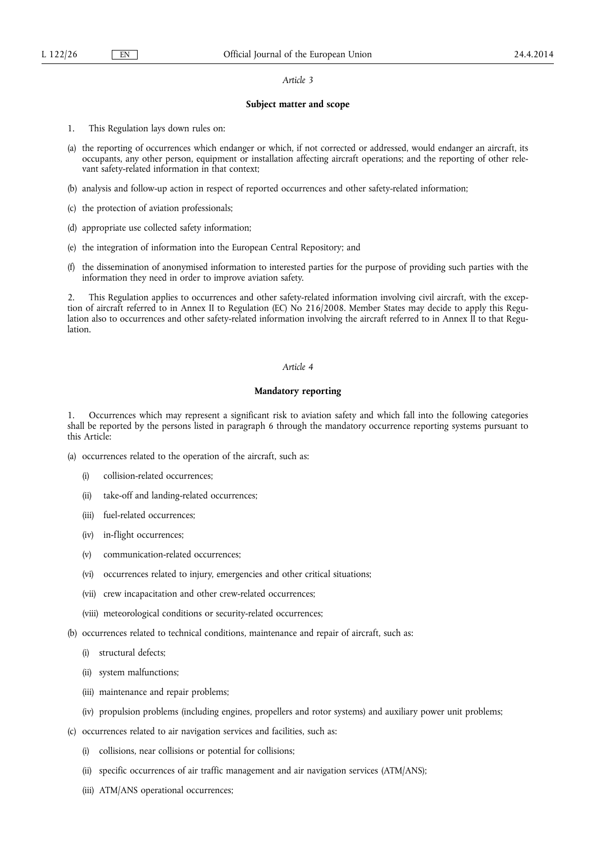## **Subject matter and scope**

- 1. This Regulation lays down rules on:
- (a) the reporting of occurrences which endanger or which, if not corrected or addressed, would endanger an aircraft, its occupants, any other person, equipment or installation affecting aircraft operations; and the reporting of other relevant safety-related information in that context;
- (b) analysis and follow-up action in respect of reported occurrences and other safety-related information;
- (c) the protection of aviation professionals;
- (d) appropriate use collected safety information;
- (e) the integration of information into the European Central Repository; and
- (f) the dissemination of anonymised information to interested parties for the purpose of providing such parties with the information they need in order to improve aviation safety.

2. This Regulation applies to occurrences and other safety-related information involving civil aircraft, with the exception of aircraft referred to in Annex II to Regulation (EC) No 216/2008. Member States may decide to apply this Regulation also to occurrences and other safety-related information involving the aircraft referred to in Annex II to that Regulation.

## *Article 4*

## **Mandatory reporting**

1. Occurrences which may represent a significant risk to aviation safety and which fall into the following categories shall be reported by the persons listed in paragraph 6 through the mandatory occurrence reporting systems pursuant to this Article:

- (a) occurrences related to the operation of the aircraft, such as:
	- (i) collision-related occurrences;
	- (ii) take-off and landing-related occurrences;
	- (iii) fuel-related occurrences;
	- (iv) in-flight occurrences;
	- (v) communication-related occurrences;
	- (vi) occurrences related to injury, emergencies and other critical situations;
	- (vii) crew incapacitation and other crew-related occurrences;
	- (viii) meteorological conditions or security-related occurrences;
- (b) occurrences related to technical conditions, maintenance and repair of aircraft, such as:
	- (i) structural defects;
	- (ii) system malfunctions;
	- (iii) maintenance and repair problems;
	- (iv) propulsion problems (including engines, propellers and rotor systems) and auxiliary power unit problems;
- (c) occurrences related to air navigation services and facilities, such as:
	- (i) collisions, near collisions or potential for collisions;
	- (ii) specific occurrences of air traffic management and air navigation services (ATM/ANS);
	- (iii) ATM/ANS operational occurrences;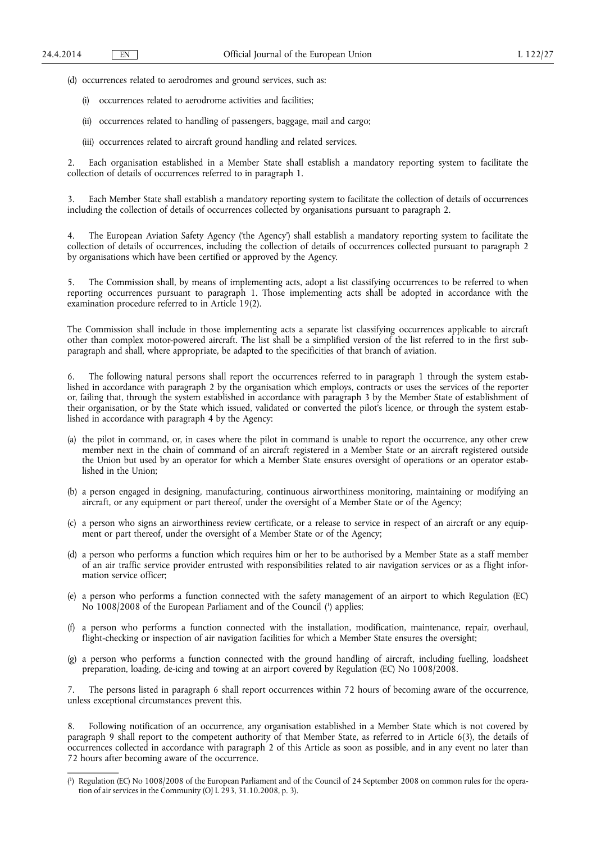(d) occurrences related to aerodromes and ground services, such as:

- occurrences related to aerodrome activities and facilities;
- (ii) occurrences related to handling of passengers, baggage, mail and cargo;
- (iii) occurrences related to aircraft ground handling and related services.

2. Each organisation established in a Member State shall establish a mandatory reporting system to facilitate the collection of details of occurrences referred to in paragraph 1.

3. Each Member State shall establish a mandatory reporting system to facilitate the collection of details of occurrences including the collection of details of occurrences collected by organisations pursuant to paragraph 2.

4. The European Aviation Safety Agency ('the Agency') shall establish a mandatory reporting system to facilitate the collection of details of occurrences, including the collection of details of occurrences collected pursuant to paragraph 2 by organisations which have been certified or approved by the Agency.

5. The Commission shall, by means of implementing acts, adopt a list classifying occurrences to be referred to when reporting occurrences pursuant to paragraph 1. Those implementing acts shall be adopted in accordance with the examination procedure referred to in Article 19(2).

The Commission shall include in those implementing acts a separate list classifying occurrences applicable to aircraft other than complex motor-powered aircraft. The list shall be a simplified version of the list referred to in the first subparagraph and shall, where appropriate, be adapted to the specificities of that branch of aviation.

6. The following natural persons shall report the occurrences referred to in paragraph 1 through the system established in accordance with paragraph 2 by the organisation which employs, contracts or uses the services of the reporter or, failing that, through the system established in accordance with paragraph 3 by the Member State of establishment of their organisation, or by the State which issued, validated or converted the pilot's licence, or through the system established in accordance with paragraph 4 by the Agency:

- (a) the pilot in command, or, in cases where the pilot in command is unable to report the occurrence, any other crew member next in the chain of command of an aircraft registered in a Member State or an aircraft registered outside the Union but used by an operator for which a Member State ensures oversight of operations or an operator established in the Union;
- (b) a person engaged in designing, manufacturing, continuous airworthiness monitoring, maintaining or modifying an aircraft, or any equipment or part thereof, under the oversight of a Member State or of the Agency;
- (c) a person who signs an airworthiness review certificate, or a release to service in respect of an aircraft or any equipment or part thereof, under the oversight of a Member State or of the Agency;
- (d) a person who performs a function which requires him or her to be authorised by a Member State as a staff member of an air traffic service provider entrusted with responsibilities related to air navigation services or as a flight information service officer;
- (e) a person who performs a function connected with the safety management of an airport to which Regulation (EC) No 1008/2008 of the European Parliament and of the Council ( 1 ) applies;
- (f) a person who performs a function connected with the installation, modification, maintenance, repair, overhaul, flight-checking or inspection of air navigation facilities for which a Member State ensures the oversight;
- (g) a person who performs a function connected with the ground handling of aircraft, including fuelling, loadsheet preparation, loading, de-icing and towing at an airport covered by Regulation (EC) No 1008/2008.

7. The persons listed in paragraph 6 shall report occurrences within 72 hours of becoming aware of the occurrence, unless exceptional circumstances prevent this.

8. Following notification of an occurrence, any organisation established in a Member State which is not covered by paragraph 9 shall report to the competent authority of that Member State, as referred to in Article 6(3), the details of occurrences collected in accordance with paragraph 2 of this Article as soon as possible, and in any event no later than 72 hours after becoming aware of the occurrence.

<sup>(</sup> 1 ) Regulation (EC) No 1008/2008 of the European Parliament and of the Council of 24 September 2008 on common rules for the operation of air services in the Community (OJ L 293, 31.10.2008, p. 3).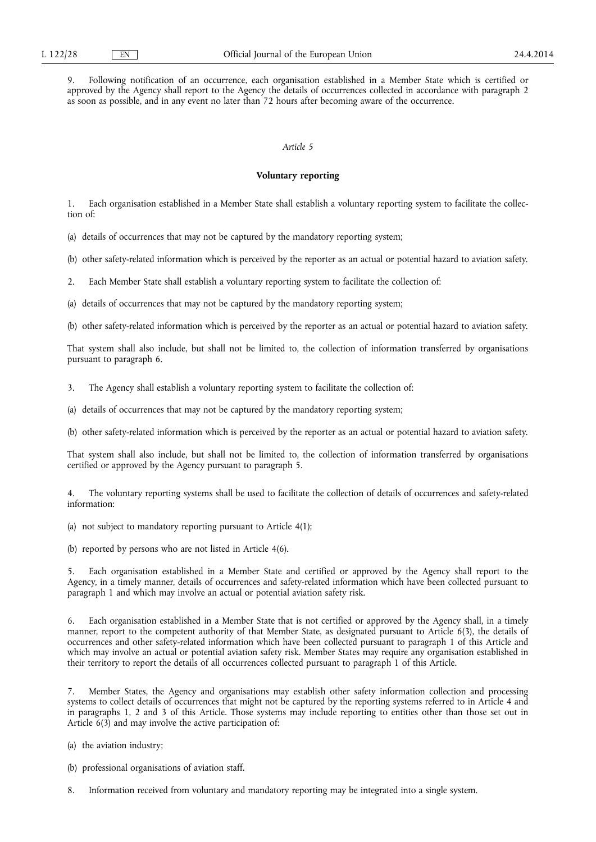9. Following notification of an occurrence, each organisation established in a Member State which is certified or approved by the Agency shall report to the Agency the details of occurrences collected in accordance with paragraph 2 as soon as possible, and in any event no later than 72 hours after becoming aware of the occurrence.

# *Article 5*

## **Voluntary reporting**

1. Each organisation established in a Member State shall establish a voluntary reporting system to facilitate the collection of:

(a) details of occurrences that may not be captured by the mandatory reporting system;

(b) other safety-related information which is perceived by the reporter as an actual or potential hazard to aviation safety.

2. Each Member State shall establish a voluntary reporting system to facilitate the collection of:

(a) details of occurrences that may not be captured by the mandatory reporting system;

(b) other safety-related information which is perceived by the reporter as an actual or potential hazard to aviation safety.

That system shall also include, but shall not be limited to, the collection of information transferred by organisations pursuant to paragraph 6.

3. The Agency shall establish a voluntary reporting system to facilitate the collection of:

(a) details of occurrences that may not be captured by the mandatory reporting system;

(b) other safety-related information which is perceived by the reporter as an actual or potential hazard to aviation safety.

That system shall also include, but shall not be limited to, the collection of information transferred by organisations certified or approved by the Agency pursuant to paragraph 5.

4. The voluntary reporting systems shall be used to facilitate the collection of details of occurrences and safety-related information:

(a) not subject to mandatory reporting pursuant to Article 4(1);

(b) reported by persons who are not listed in Article 4(6).

5. Each organisation established in a Member State and certified or approved by the Agency shall report to the Agency, in a timely manner, details of occurrences and safety-related information which have been collected pursuant to paragraph 1 and which may involve an actual or potential aviation safety risk.

6. Each organisation established in a Member State that is not certified or approved by the Agency shall, in a timely manner, report to the competent authority of that Member State, as designated pursuant to Article 6(3), the details of occurrences and other safety-related information which have been collected pursuant to paragraph 1 of this Article and which may involve an actual or potential aviation safety risk. Member States may require any organisation established in their territory to report the details of all occurrences collected pursuant to paragraph 1 of this Article.

7. Member States, the Agency and organisations may establish other safety information collection and processing systems to collect details of occurrences that might not be captured by the reporting systems referred to in Article 4 and in paragraphs 1, 2 and 3 of this Article. Those systems may include reporting to entities other than those set out in Article  $6(3)$  and may involve the active participation of:

(a) the aviation industry;

(b) professional organisations of aviation staff.

8. Information received from voluntary and mandatory reporting may be integrated into a single system.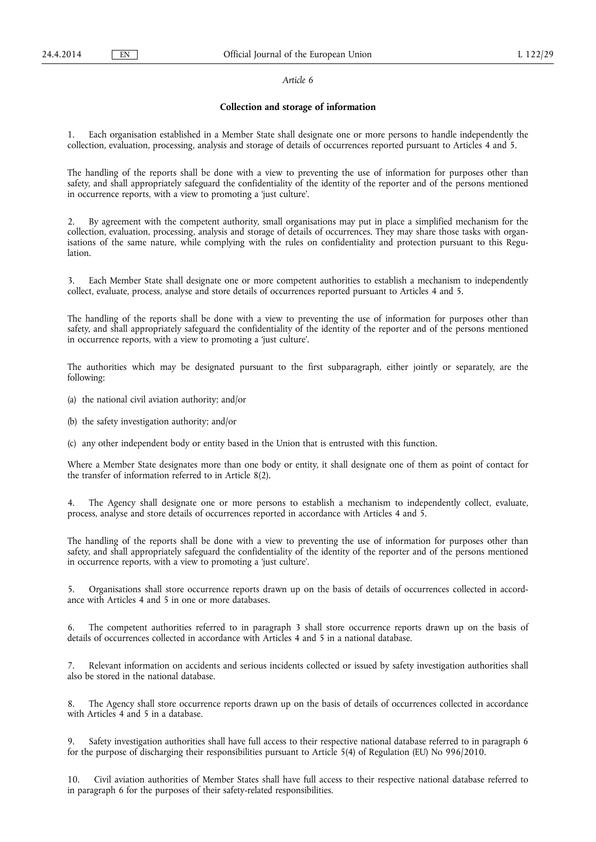## **Collection and storage of information**

1. Each organisation established in a Member State shall designate one or more persons to handle independently the collection, evaluation, processing, analysis and storage of details of occurrences reported pursuant to Articles 4 and 5.

The handling of the reports shall be done with a view to preventing the use of information for purposes other than safety, and shall appropriately safeguard the confidentiality of the identity of the reporter and of the persons mentioned in occurrence reports, with a view to promoting a 'just culture'.

By agreement with the competent authority, small organisations may put in place a simplified mechanism for the collection, evaluation, processing, analysis and storage of details of occurrences. They may share those tasks with organisations of the same nature, while complying with the rules on confidentiality and protection pursuant to this Regulation.

Each Member State shall designate one or more competent authorities to establish a mechanism to independently collect, evaluate, process, analyse and store details of occurrences reported pursuant to Articles 4 and 5.

The handling of the reports shall be done with a view to preventing the use of information for purposes other than safety, and shall appropriately safeguard the confidentiality of the identity of the reporter and of the persons mentioned in occurrence reports, with a view to promoting a 'just culture'.

The authorities which may be designated pursuant to the first subparagraph, either jointly or separately, are the following:

(a) the national civil aviation authority; and/or

(b) the safety investigation authority; and/or

(c) any other independent body or entity based in the Union that is entrusted with this function.

Where a Member State designates more than one body or entity, it shall designate one of them as point of contact for the transfer of information referred to in Article 8(2).

4. The Agency shall designate one or more persons to establish a mechanism to independently collect, evaluate, process, analyse and store details of occurrences reported in accordance with Articles 4 and 5.

The handling of the reports shall be done with a view to preventing the use of information for purposes other than safety, and shall appropriately safeguard the confidentiality of the identity of the reporter and of the persons mentioned in occurrence reports, with a view to promoting a 'just culture'.

5. Organisations shall store occurrence reports drawn up on the basis of details of occurrences collected in accordance with Articles 4 and 5 in one or more databases.

The competent authorities referred to in paragraph 3 shall store occurrence reports drawn up on the basis of details of occurrences collected in accordance with Articles 4 and 5 in a national database.

7. Relevant information on accidents and serious incidents collected or issued by safety investigation authorities shall also be stored in the national database.

8. The Agency shall store occurrence reports drawn up on the basis of details of occurrences collected in accordance with Articles 4 and 5 in a database.

9. Safety investigation authorities shall have full access to their respective national database referred to in paragraph 6 for the purpose of discharging their responsibilities pursuant to Article 5(4) of Regulation (EU) No 996/2010.

10. Civil aviation authorities of Member States shall have full access to their respective national database referred to in paragraph 6 for the purposes of their safety-related responsibilities.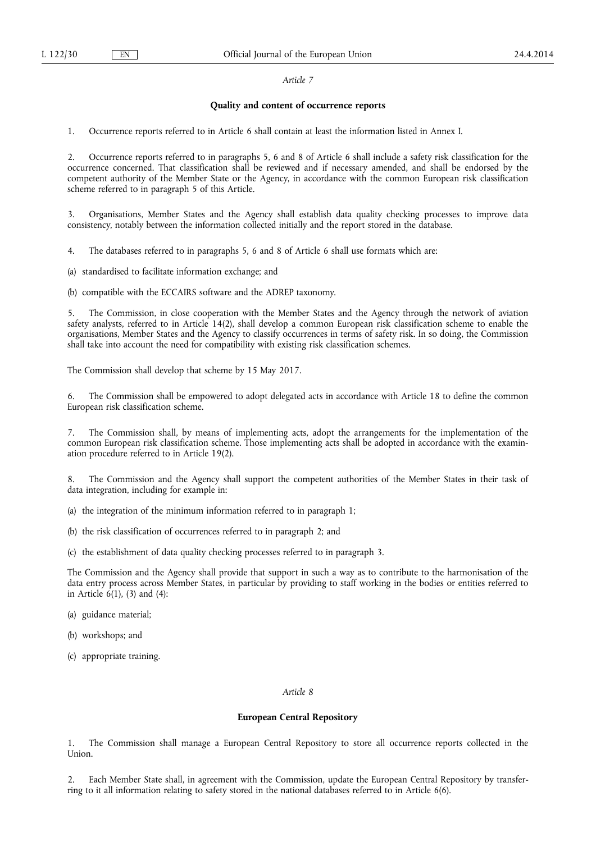### **Quality and content of occurrence reports**

1. Occurrence reports referred to in Article 6 shall contain at least the information listed in Annex I.

2. Occurrence reports referred to in paragraphs 5, 6 and 8 of Article 6 shall include a safety risk classification for the occurrence concerned. That classification shall be reviewed and if necessary amended, and shall be endorsed by the competent authority of the Member State or the Agency, in accordance with the common European risk classification scheme referred to in paragraph 5 of this Article.

3. Organisations, Member States and the Agency shall establish data quality checking processes to improve data consistency, notably between the information collected initially and the report stored in the database.

4. The databases referred to in paragraphs 5, 6 and 8 of Article 6 shall use formats which are:

(a) standardised to facilitate information exchange; and

(b) compatible with the ECCAIRS software and the ADREP taxonomy.

5. The Commission, in close cooperation with the Member States and the Agency through the network of aviation safety analysts, referred to in Article 14(2), shall develop a common European risk classification scheme to enable the organisations, Member States and the Agency to classify occurrences in terms of safety risk. In so doing, the Commission shall take into account the need for compatibility with existing risk classification schemes.

The Commission shall develop that scheme by 15 May 2017.

The Commission shall be empowered to adopt delegated acts in accordance with Article 18 to define the common European risk classification scheme.

7. The Commission shall, by means of implementing acts, adopt the arrangements for the implementation of the common European risk classification scheme. Those implementing acts shall be adopted in accordance with the examination procedure referred to in Article 19(2).

8. The Commission and the Agency shall support the competent authorities of the Member States in their task of data integration, including for example in:

(a) the integration of the minimum information referred to in paragraph 1;

(b) the risk classification of occurrences referred to in paragraph 2; and

(c) the establishment of data quality checking processes referred to in paragraph 3.

The Commission and the Agency shall provide that support in such a way as to contribute to the harmonisation of the data entry process across Member States, in particular by providing to staff working in the bodies or entities referred to in Article 6(1), (3) and (4):

- (a) guidance material;
- (b) workshops; and
- (c) appropriate training.

### *Article 8*

### **European Central Repository**

1. The Commission shall manage a European Central Repository to store all occurrence reports collected in the Union.

2. Each Member State shall, in agreement with the Commission, update the European Central Repository by transferring to it all information relating to safety stored in the national databases referred to in Article 6(6).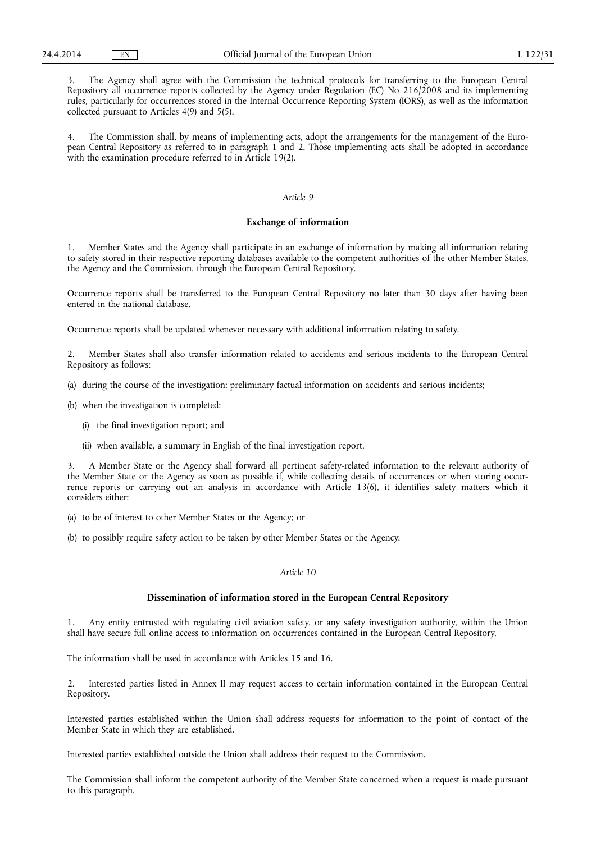3. The Agency shall agree with the Commission the technical protocols for transferring to the European Central Repository all occurrence reports collected by the Agency under Regulation (EC) No 216/2008 and its implementing rules, particularly for occurrences stored in the Internal Occurrence Reporting System (IORS), as well as the information collected pursuant to Articles 4(9) and 5(5).

4. The Commission shall, by means of implementing acts, adopt the arrangements for the management of the European Central Repository as referred to in paragraph 1 and 2. Those implementing acts shall be adopted in accordance with the examination procedure referred to in Article 19(2).

## *Article 9*

## **Exchange of information**

1. Member States and the Agency shall participate in an exchange of information by making all information relating to safety stored in their respective reporting databases available to the competent authorities of the other Member States, the Agency and the Commission, through the European Central Repository.

Occurrence reports shall be transferred to the European Central Repository no later than 30 days after having been entered in the national database.

Occurrence reports shall be updated whenever necessary with additional information relating to safety.

2. Member States shall also transfer information related to accidents and serious incidents to the European Central Repository as follows:

(a) during the course of the investigation: preliminary factual information on accidents and serious incidents;

(b) when the investigation is completed:

- (i) the final investigation report; and
- (ii) when available, a summary in English of the final investigation report.

3. A Member State or the Agency shall forward all pertinent safety-related information to the relevant authority of the Member State or the Agency as soon as possible if, while collecting details of occurrences or when storing occurrence reports or carrying out an analysis in accordance with Article 13(6), it identifies safety matters which it considers either:

- (a) to be of interest to other Member States or the Agency; or
- (b) to possibly require safety action to be taken by other Member States or the Agency.

### *Article 10*

### **Dissemination of information stored in the European Central Repository**

1. Any entity entrusted with regulating civil aviation safety, or any safety investigation authority, within the Union shall have secure full online access to information on occurrences contained in the European Central Repository.

The information shall be used in accordance with Articles 15 and 16.

2. Interested parties listed in Annex II may request access to certain information contained in the European Central Repository.

Interested parties established within the Union shall address requests for information to the point of contact of the Member State in which they are established.

Interested parties established outside the Union shall address their request to the Commission.

The Commission shall inform the competent authority of the Member State concerned when a request is made pursuant to this paragraph.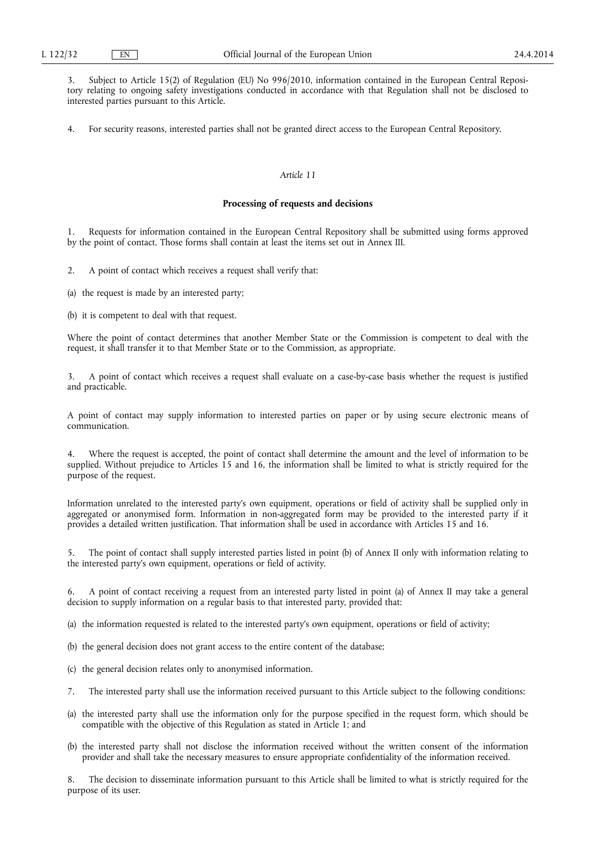3. Subject to Article 15(2) of Regulation (EU) No 996/2010, information contained in the European Central Repository relating to ongoing safety investigations conducted in accordance with that Regulation shall not be disclosed to interested parties pursuant to this Article.

4. For security reasons, interested parties shall not be granted direct access to the European Central Repository.

# *Article 11*

### **Processing of requests and decisions**

1. Requests for information contained in the European Central Repository shall be submitted using forms approved by the point of contact. Those forms shall contain at least the items set out in Annex III.

2. A point of contact which receives a request shall verify that:

(a) the request is made by an interested party;

(b) it is competent to deal with that request.

Where the point of contact determines that another Member State or the Commission is competent to deal with the request, it shall transfer it to that Member State or to the Commission, as appropriate.

3. A point of contact which receives a request shall evaluate on a case-by-case basis whether the request is justified and practicable.

A point of contact may supply information to interested parties on paper or by using secure electronic means of communication.

Where the request is accepted, the point of contact shall determine the amount and the level of information to be supplied. Without prejudice to Articles 15 and 16, the information shall be limited to what is strictly required for the purpose of the request.

Information unrelated to the interested party's own equipment, operations or field of activity shall be supplied only in aggregated or anonymised form. Information in non-aggregated form may be provided to the interested party if it provides a detailed written justification. That information shall be used in accordance with Articles 15 and 16.

The point of contact shall supply interested parties listed in point (b) of Annex II only with information relating to the interested party's own equipment, operations or field of activity.

6. A point of contact receiving a request from an interested party listed in point (a) of Annex II may take a general decision to supply information on a regular basis to that interested party, provided that:

(a) the information requested is related to the interested party's own equipment, operations or field of activity;

- (b) the general decision does not grant access to the entire content of the database;
- (c) the general decision relates only to anonymised information.
- 7. The interested party shall use the information received pursuant to this Article subject to the following conditions:
- (a) the interested party shall use the information only for the purpose specified in the request form, which should be compatible with the objective of this Regulation as stated in Article 1; and
- (b) the interested party shall not disclose the information received without the written consent of the information provider and shall take the necessary measures to ensure appropriate confidentiality of the information received.

The decision to disseminate information pursuant to this Article shall be limited to what is strictly required for the purpose of its user.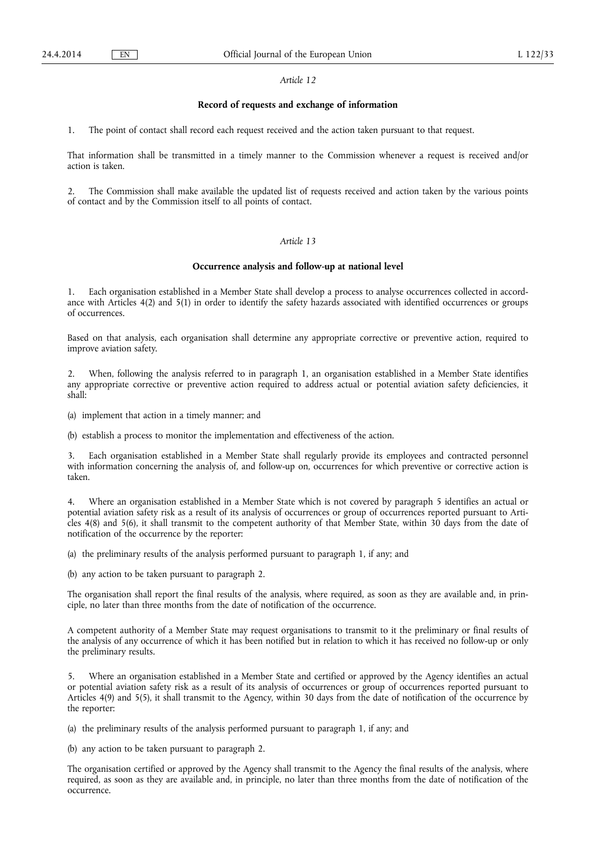### **Record of requests and exchange of information**

1. The point of contact shall record each request received and the action taken pursuant to that request.

That information shall be transmitted in a timely manner to the Commission whenever a request is received and/or action is taken.

2. The Commission shall make available the updated list of requests received and action taken by the various points of contact and by the Commission itself to all points of contact.

#### *Article 13*

### **Occurrence analysis and follow-up at national level**

1. Each organisation established in a Member State shall develop a process to analyse occurrences collected in accordance with Articles 4(2) and 5(1) in order to identify the safety hazards associated with identified occurrences or groups of occurrences.

Based on that analysis, each organisation shall determine any appropriate corrective or preventive action, required to improve aviation safety.

2. When, following the analysis referred to in paragraph 1, an organisation established in a Member State identifies any appropriate corrective or preventive action required to address actual or potential aviation safety deficiencies, it shall:

(a) implement that action in a timely manner; and

(b) establish a process to monitor the implementation and effectiveness of the action.

3. Each organisation established in a Member State shall regularly provide its employees and contracted personnel with information concerning the analysis of, and follow-up on, occurrences for which preventive or corrective action is taken.

4. Where an organisation established in a Member State which is not covered by paragraph 5 identifies an actual or potential aviation safety risk as a result of its analysis of occurrences or group of occurrences reported pursuant to Articles 4(8) and 5(6), it shall transmit to the competent authority of that Member State, within 30 days from the date of notification of the occurrence by the reporter:

(a) the preliminary results of the analysis performed pursuant to paragraph 1, if any; and

(b) any action to be taken pursuant to paragraph 2.

The organisation shall report the final results of the analysis, where required, as soon as they are available and, in principle, no later than three months from the date of notification of the occurrence.

A competent authority of a Member State may request organisations to transmit to it the preliminary or final results of the analysis of any occurrence of which it has been notified but in relation to which it has received no follow-up or only the preliminary results.

5. Where an organisation established in a Member State and certified or approved by the Agency identifies an actual or potential aviation safety risk as a result of its analysis of occurrences or group of occurrences reported pursuant to Articles 4(9) and 5(5), it shall transmit to the Agency, within 30 days from the date of notification of the occurrence by the reporter:

(a) the preliminary results of the analysis performed pursuant to paragraph 1, if any; and

(b) any action to be taken pursuant to paragraph 2.

The organisation certified or approved by the Agency shall transmit to the Agency the final results of the analysis, where required, as soon as they are available and, in principle, no later than three months from the date of notification of the occurrence.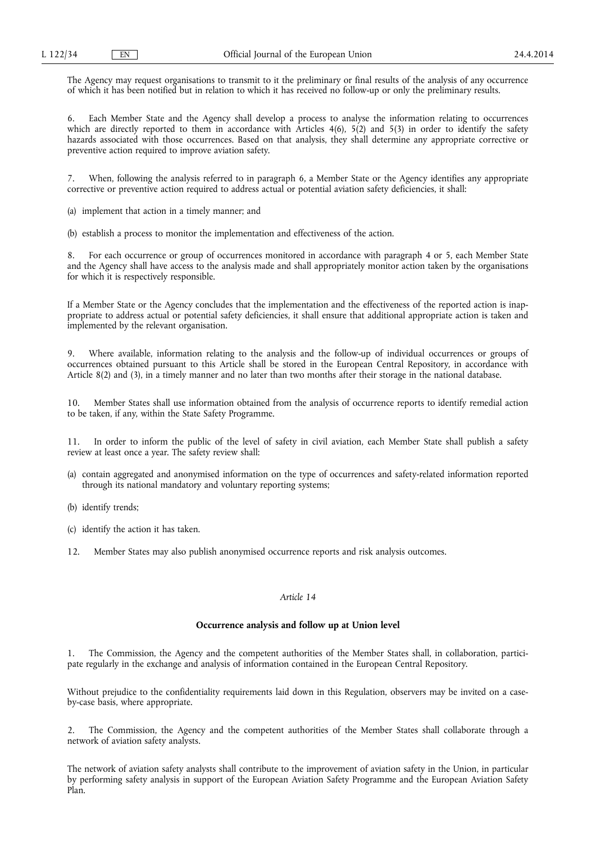The Agency may request organisations to transmit to it the preliminary or final results of the analysis of any occurrence of which it has been notified but in relation to which it has received no follow-up or only the preliminary results.

6. Each Member State and the Agency shall develop a process to analyse the information relating to occurrences which are directly reported to them in accordance with Articles 4(6), 5(2) and 5(3) in order to identify the safety hazards associated with those occurrences. Based on that analysis, they shall determine any appropriate corrective or preventive action required to improve aviation safety.

7. When, following the analysis referred to in paragraph 6, a Member State or the Agency identifies any appropriate corrective or preventive action required to address actual or potential aviation safety deficiencies, it shall:

(a) implement that action in a timely manner; and

(b) establish a process to monitor the implementation and effectiveness of the action.

8. For each occurrence or group of occurrences monitored in accordance with paragraph 4 or 5, each Member State and the Agency shall have access to the analysis made and shall appropriately monitor action taken by the organisations for which it is respectively responsible.

If a Member State or the Agency concludes that the implementation and the effectiveness of the reported action is inappropriate to address actual or potential safety deficiencies, it shall ensure that additional appropriate action is taken and implemented by the relevant organisation.

9. Where available, information relating to the analysis and the follow-up of individual occurrences or groups of occurrences obtained pursuant to this Article shall be stored in the European Central Repository, in accordance with Article 8(2) and (3), in a timely manner and no later than two months after their storage in the national database.

10. Member States shall use information obtained from the analysis of occurrence reports to identify remedial action to be taken, if any, within the State Safety Programme.

11. In order to inform the public of the level of safety in civil aviation, each Member State shall publish a safety review at least once a year. The safety review shall:

- (a) contain aggregated and anonymised information on the type of occurrences and safety-related information reported through its national mandatory and voluntary reporting systems;
- (b) identify trends;
- (c) identify the action it has taken.
- 12. Member States may also publish anonymised occurrence reports and risk analysis outcomes.

## *Article 14*

### **Occurrence analysis and follow up at Union level**

1. The Commission, the Agency and the competent authorities of the Member States shall, in collaboration, participate regularly in the exchange and analysis of information contained in the European Central Repository.

Without prejudice to the confidentiality requirements laid down in this Regulation, observers may be invited on a caseby-case basis, where appropriate.

2. The Commission, the Agency and the competent authorities of the Member States shall collaborate through a network of aviation safety analysts.

The network of aviation safety analysts shall contribute to the improvement of aviation safety in the Union, in particular by performing safety analysis in support of the European Aviation Safety Programme and the European Aviation Safety Plan.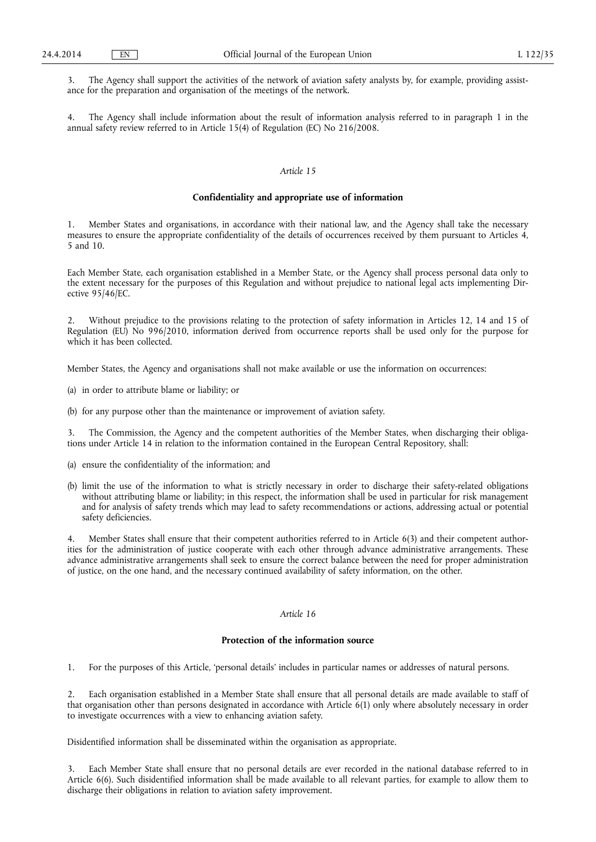3. The Agency shall support the activities of the network of aviation safety analysts by, for example, providing assistance for the preparation and organisation of the meetings of the network.

4. The Agency shall include information about the result of information analysis referred to in paragraph 1 in the annual safety review referred to in Article 15(4) of Regulation (EC) No 216/2008.

## *Article 15*

### **Confidentiality and appropriate use of information**

1. Member States and organisations, in accordance with their national law, and the Agency shall take the necessary measures to ensure the appropriate confidentiality of the details of occurrences received by them pursuant to Articles 4, 5 and 10.

Each Member State, each organisation established in a Member State, or the Agency shall process personal data only to the extent necessary for the purposes of this Regulation and without prejudice to national legal acts implementing Directive 95/46/EC.

2. Without prejudice to the provisions relating to the protection of safety information in Articles 12, 14 and 15 of Regulation (EU) No 996/2010, information derived from occurrence reports shall be used only for the purpose for which it has been collected.

Member States, the Agency and organisations shall not make available or use the information on occurrences:

- (a) in order to attribute blame or liability; or
- (b) for any purpose other than the maintenance or improvement of aviation safety.

3. The Commission, the Agency and the competent authorities of the Member States, when discharging their obligations under Article 14 in relation to the information contained in the European Central Repository, shall:

- (a) ensure the confidentiality of the information; and
- (b) limit the use of the information to what is strictly necessary in order to discharge their safety-related obligations without attributing blame or liability; in this respect, the information shall be used in particular for risk management and for analysis of safety trends which may lead to safety recommendations or actions, addressing actual or potential safety deficiencies.

Member States shall ensure that their competent authorities referred to in Article 6(3) and their competent authorities for the administration of justice cooperate with each other through advance administrative arrangements. These advance administrative arrangements shall seek to ensure the correct balance between the need for proper administration of justice, on the one hand, and the necessary continued availability of safety information, on the other.

## *Article 16*

## **Protection of the information source**

1. For the purposes of this Article, 'personal details' includes in particular names or addresses of natural persons.

Each organisation established in a Member State shall ensure that all personal details are made available to staff of that organisation other than persons designated in accordance with Article  $6(1)$  only where absolutely necessary in order to investigate occurrences with a view to enhancing aviation safety.

Disidentified information shall be disseminated within the organisation as appropriate.

3. Each Member State shall ensure that no personal details are ever recorded in the national database referred to in Article 6(6). Such disidentified information shall be made available to all relevant parties, for example to allow them to discharge their obligations in relation to aviation safety improvement.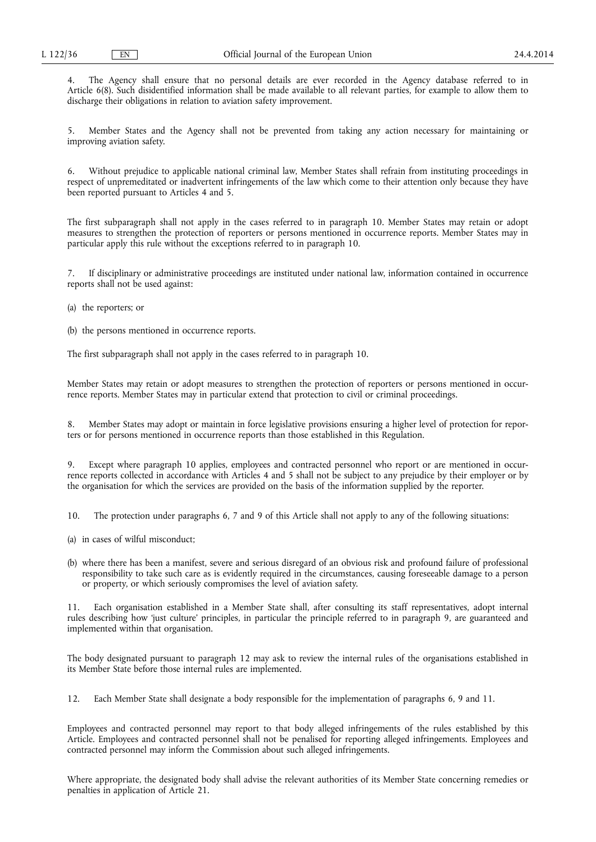4. The Agency shall ensure that no personal details are ever recorded in the Agency database referred to in Article 6(8). Such disidentified information shall be made available to all relevant parties, for example to allow them to discharge their obligations in relation to aviation safety improvement.

5. Member States and the Agency shall not be prevented from taking any action necessary for maintaining or improving aviation safety.

6. Without prejudice to applicable national criminal law, Member States shall refrain from instituting proceedings in respect of unpremeditated or inadvertent infringements of the law which come to their attention only because they have been reported pursuant to Articles 4 and 5.

The first subparagraph shall not apply in the cases referred to in paragraph 10. Member States may retain or adopt measures to strengthen the protection of reporters or persons mentioned in occurrence reports. Member States may in particular apply this rule without the exceptions referred to in paragraph 10.

If disciplinary or administrative proceedings are instituted under national law, information contained in occurrence reports shall not be used against:

(a) the reporters; or

(b) the persons mentioned in occurrence reports.

The first subparagraph shall not apply in the cases referred to in paragraph 10.

Member States may retain or adopt measures to strengthen the protection of reporters or persons mentioned in occurrence reports. Member States may in particular extend that protection to civil or criminal proceedings.

8. Member States may adopt or maintain in force legislative provisions ensuring a higher level of protection for reporters or for persons mentioned in occurrence reports than those established in this Regulation.

Except where paragraph 10 applies, employees and contracted personnel who report or are mentioned in occurrence reports collected in accordance with Articles 4 and 5 shall not be subject to any prejudice by their employer or by the organisation for which the services are provided on the basis of the information supplied by the reporter.

10. The protection under paragraphs 6, 7 and 9 of this Article shall not apply to any of the following situations:

- (a) in cases of wilful misconduct;
- (b) where there has been a manifest, severe and serious disregard of an obvious risk and profound failure of professional responsibility to take such care as is evidently required in the circumstances, causing foreseeable damage to a person or property, or which seriously compromises the level of aviation safety.

11. Each organisation established in a Member State shall, after consulting its staff representatives, adopt internal rules describing how 'just culture' principles, in particular the principle referred to in paragraph 9, are guaranteed and implemented within that organisation.

The body designated pursuant to paragraph 12 may ask to review the internal rules of the organisations established in its Member State before those internal rules are implemented.

12. Each Member State shall designate a body responsible for the implementation of paragraphs 6, 9 and 11.

Employees and contracted personnel may report to that body alleged infringements of the rules established by this Article. Employees and contracted personnel shall not be penalised for reporting alleged infringements. Employees and contracted personnel may inform the Commission about such alleged infringements.

Where appropriate, the designated body shall advise the relevant authorities of its Member State concerning remedies or penalties in application of Article 21.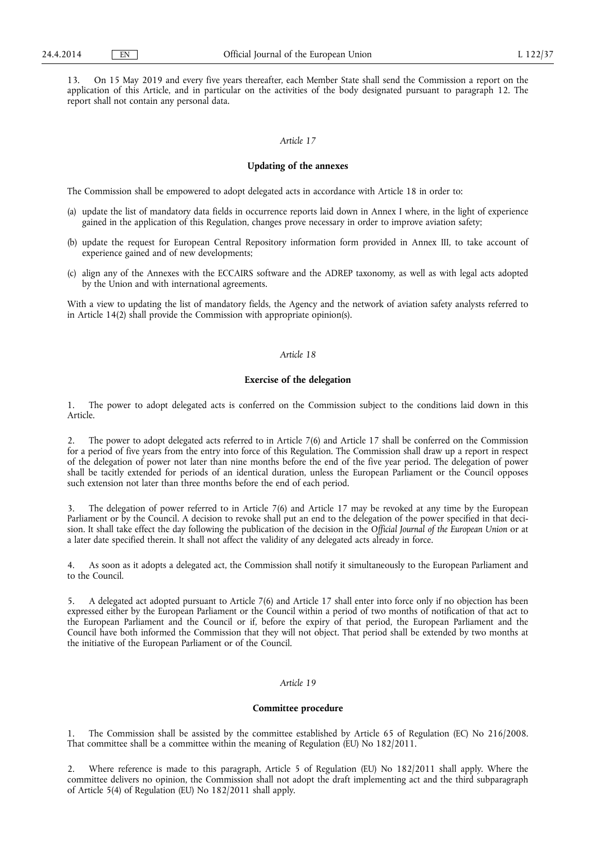13. On 15 May 2019 and every five years thereafter, each Member State shall send the Commission a report on the application of this Article, and in particular on the activities of the body designated pursuant to paragraph 12. The report shall not contain any personal data.

# *Article 17*

## **Updating of the annexes**

The Commission shall be empowered to adopt delegated acts in accordance with Article 18 in order to:

- (a) update the list of mandatory data fields in occurrence reports laid down in Annex I where, in the light of experience gained in the application of this Regulation, changes prove necessary in order to improve aviation safety;
- (b) update the request for European Central Repository information form provided in Annex III, to take account of experience gained and of new developments;
- (c) align any of the Annexes with the ECCAIRS software and the ADREP taxonomy, as well as with legal acts adopted by the Union and with international agreements.

With a view to updating the list of mandatory fields, the Agency and the network of aviation safety analysts referred to in Article 14(2) shall provide the Commission with appropriate opinion(s).

# *Article 18*

# **Exercise of the delegation**

1. The power to adopt delegated acts is conferred on the Commission subject to the conditions laid down in this Article.

2. The power to adopt delegated acts referred to in Article 7(6) and Article 17 shall be conferred on the Commission for a period of five years from the entry into force of this Regulation. The Commission shall draw up a report in respect of the delegation of power not later than nine months before the end of the five year period. The delegation of power shall be tacitly extended for periods of an identical duration, unless the European Parliament or the Council opposes such extension not later than three months before the end of each period.

The delegation of power referred to in Article 7(6) and Article 17 may be revoked at any time by the European Parliament or by the Council. A decision to revoke shall put an end to the delegation of the power specified in that decision. It shall take effect the day following the publication of the decision in the *Official Journal of the European Union* or at a later date specified therein. It shall not affect the validity of any delegated acts already in force.

4. As soon as it adopts a delegated act, the Commission shall notify it simultaneously to the European Parliament and to the Council.

5. A delegated act adopted pursuant to Article 7(6) and Article 17 shall enter into force only if no objection has been expressed either by the European Parliament or the Council within a period of two months of notification of that act to the European Parliament and the Council or if, before the expiry of that period, the European Parliament and the Council have both informed the Commission that they will not object. That period shall be extended by two months at the initiative of the European Parliament or of the Council.

# *Article 19*

### **Committee procedure**

1. The Commission shall be assisted by the committee established by Article 65 of Regulation (EC) No 216/2008. That committee shall be a committee within the meaning of Regulation (EU) No 182/2011.

2. Where reference is made to this paragraph, Article 5 of Regulation (EU) No 182/2011 shall apply. Where the committee delivers no opinion, the Commission shall not adopt the draft implementing act and the third subparagraph of Article 5(4) of Regulation (EU) No 182/2011 shall apply.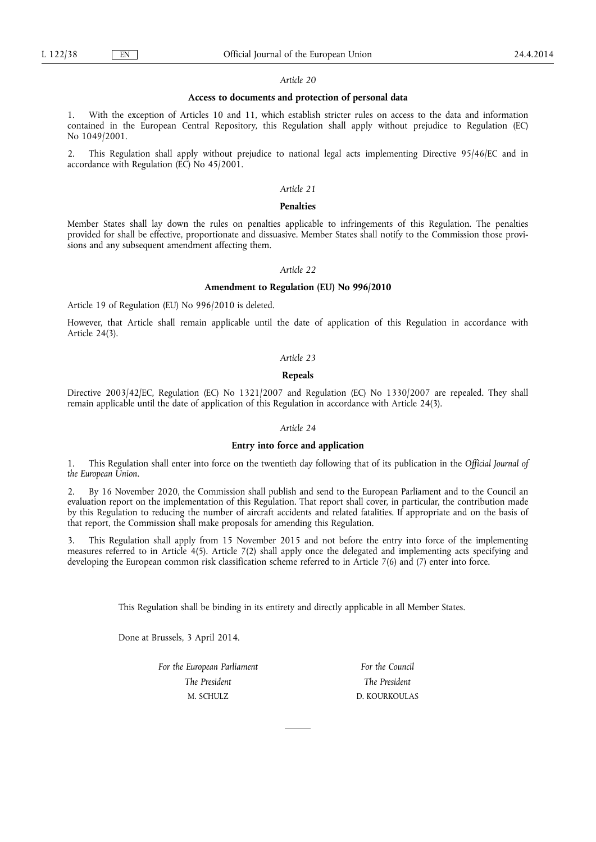### **Access to documents and protection of personal data**

With the exception of Articles 10 and 11, which establish stricter rules on access to the data and information contained in the European Central Repository, this Regulation shall apply without prejudice to Regulation (EC) No 1049/2001.

2. This Regulation shall apply without prejudice to national legal acts implementing Directive 95/46/EC and in accordance with Regulation (EC) No 45/2001.

### *Article 21*

#### **Penalties**

Member States shall lay down the rules on penalties applicable to infringements of this Regulation. The penalties provided for shall be effective, proportionate and dissuasive. Member States shall notify to the Commission those provisions and any subsequent amendment affecting them.

## *Article 22*

### **Amendment to Regulation (EU) No 996/2010**

Article 19 of Regulation (EU) No 996/2010 is deleted.

However, that Article shall remain applicable until the date of application of this Regulation in accordance with Article 24(3).

## *Article 23*

#### **Repeals**

Directive 2003/42/EC, Regulation (EC) No 1321/2007 and Regulation (EC) No 1330/2007 are repealed. They shall remain applicable until the date of application of this Regulation in accordance with Article 24(3).

#### *Article 24*

### **Entry into force and application**

1. This Regulation shall enter into force on the twentieth day following that of its publication in the *Official Journal of the European Union*.

2. By 16 November 2020, the Commission shall publish and send to the European Parliament and to the Council an evaluation report on the implementation of this Regulation. That report shall cover, in particular, the contribution made by this Regulation to reducing the number of aircraft accidents and related fatalities. If appropriate and on the basis of that report, the Commission shall make proposals for amending this Regulation.

3. This Regulation shall apply from 15 November 2015 and not before the entry into force of the implementing measures referred to in Article 4(5). Article 7(2) shall apply once the delegated and implementing acts specifying and developing the European common risk classification scheme referred to in Article 7(6) and (7) enter into force.

This Regulation shall be binding in its entirety and directly applicable in all Member States.

Done at Brussels, 3 April 2014.

*For the European Parliament The President*  M. SCHULZ

*For the Council The President*  D. KOURKOULAS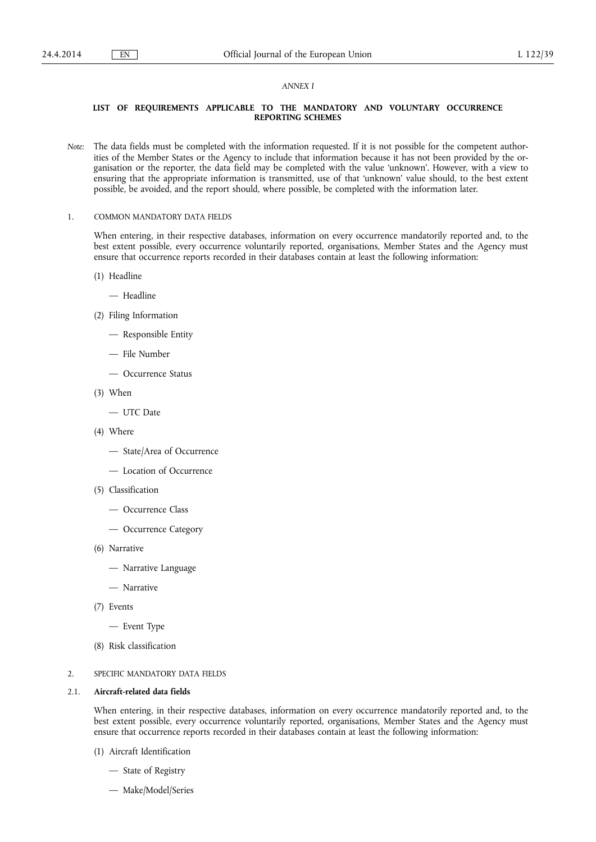#### *ANNEX I*

## **LIST OF REQUIREMENTS APPLICABLE TO THE MANDATORY AND VOLUNTARY OCCURRENCE REPORTING SCHEMES**

- *Note:* The data fields must be completed with the information requested. If it is not possible for the competent authorities of the Member States or the Agency to include that information because it has not been provided by the organisation or the reporter, the data field may be completed with the value 'unknown'. However, with a view to ensuring that the appropriate information is transmitted, use of that 'unknown' value should, to the best extent possible, be avoided, and the report should, where possible, be completed with the information later.
- 1. COMMON MANDATORY DATA FIELDS

When entering, in their respective databases, information on every occurrence mandatorily reported and, to the best extent possible, every occurrence voluntarily reported, organisations, Member States and the Agency must ensure that occurrence reports recorded in their databases contain at least the following information:

- (1) Headline
	- Headline
- (2) Filing Information
	- Responsible Entity
	- File Number
	- Occurrence Status
- (3) When
	- UTC Date
- (4) Where
	- State/Area of Occurrence
	- Location of Occurrence
- (5) Classification
	- Occurrence Class
	- Occurrence Category
- (6) Narrative
	- Narrative Language
	- Narrative
- (7) Events
	- Event Type
- (8) Risk classification

## 2. SPECIFIC MANDATORY DATA FIELDS

#### 2.1. **Aircraft-related data fields**

When entering, in their respective databases, information on every occurrence mandatorily reported and, to the best extent possible, every occurrence voluntarily reported, organisations, Member States and the Agency must ensure that occurrence reports recorded in their databases contain at least the following information:

- (1) Aircraft Identification
	- State of Registry
	- Make/Model/Series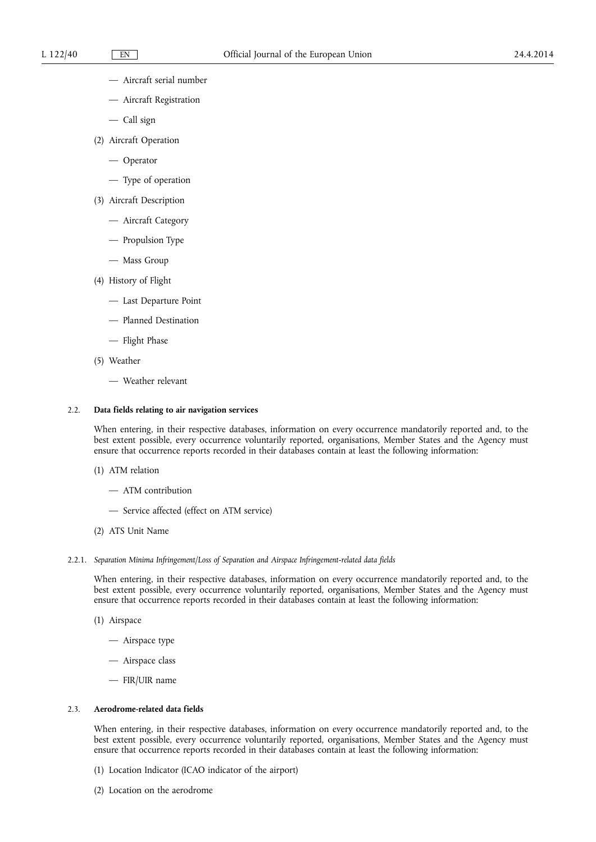- Aircraft serial number
- Aircraft Registration
- Call sign
- (2) Aircraft Operation
	- Operator
	- Type of operation
- (3) Aircraft Description
	- Aircraft Category
	- Propulsion Type
	- Mass Group
- (4) History of Flight
	- Last Departure Point
	- Planned Destination
	- Flight Phase
- (5) Weather
	- Weather relevant

## 2.2. **Data fields relating to air navigation services**

When entering, in their respective databases, information on every occurrence mandatorily reported and, to the best extent possible, every occurrence voluntarily reported, organisations, Member States and the Agency must ensure that occurrence reports recorded in their databases contain at least the following information:

- (1) ATM relation
	- ATM contribution
	- Service affected (effect on ATM service)
- (2) ATS Unit Name
- 2.2.1. *Separation Minima Infringement/Loss of Separation and Airspace Infringement-related data fields*

When entering, in their respective databases, information on every occurrence mandatorily reported and, to the best extent possible, every occurrence voluntarily reported, organisations, Member States and the Agency must ensure that occurrence reports recorded in their databases contain at least the following information:

- (1) Airspace
	- Airspace type
	- Airspace class
	- FIR/UIR name

### 2.3. **Aerodrome-related data fields**

When entering, in their respective databases, information on every occurrence mandatorily reported and, to the best extent possible, every occurrence voluntarily reported, organisations, Member States and the Agency must ensure that occurrence reports recorded in their databases contain at least the following information:

- (1) Location Indicator (ICAO indicator of the airport)
- (2) Location on the aerodrome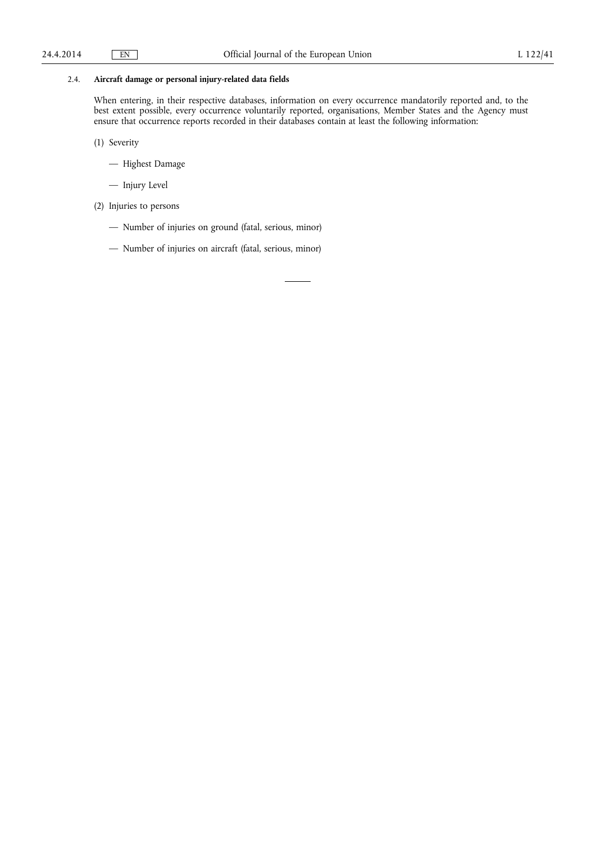# 2.4. **Aircraft damage or personal injury-related data fields**

When entering, in their respective databases, information on every occurrence mandatorily reported and, to the best extent possible, every occurrence voluntarily reported, organisations, Member States and the Agency must ensure that occurrence reports recorded in their databases contain at least the following information:

(1) Severity

- Highest Damage
- Injury Level
- (2) Injuries to persons
	- Number of injuries on ground (fatal, serious, minor)
	- Number of injuries on aircraft (fatal, serious, minor)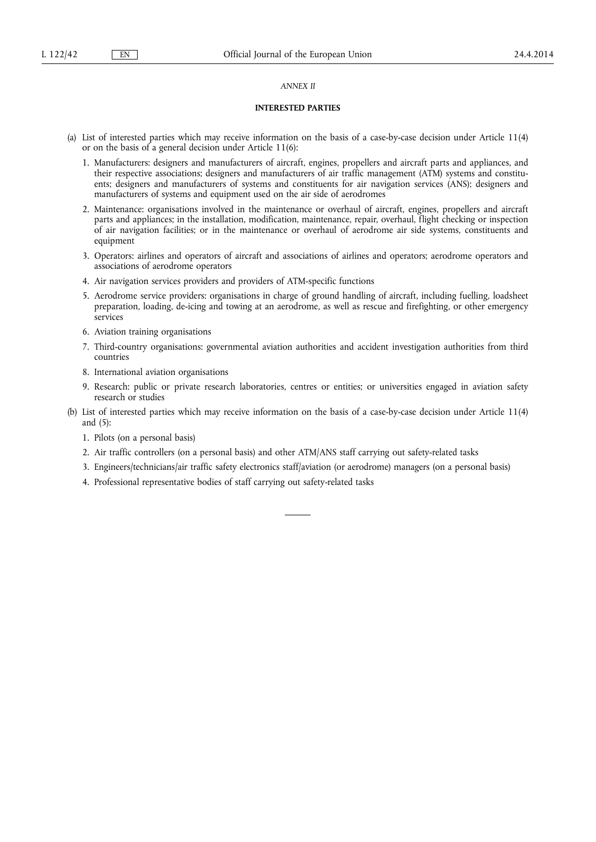## *ANNEX II*

## **INTERESTED PARTIES**

- (a) List of interested parties which may receive information on the basis of a case-by-case decision under Article 11(4) or on the basis of a general decision under Article 11(6):
	- 1. Manufacturers: designers and manufacturers of aircraft, engines, propellers and aircraft parts and appliances, and their respective associations; designers and manufacturers of air traffic management (ATM) systems and constituents; designers and manufacturers of systems and constituents for air navigation services (ANS); designers and manufacturers of systems and equipment used on the air side of aerodromes
	- 2. Maintenance: organisations involved in the maintenance or overhaul of aircraft, engines, propellers and aircraft parts and appliances; in the installation, modification, maintenance, repair, overhaul, flight checking or inspection of air navigation facilities; or in the maintenance or overhaul of aerodrome air side systems, constituents and equipment
	- 3. Operators: airlines and operators of aircraft and associations of airlines and operators; aerodrome operators and associations of aerodrome operators
	- 4. Air navigation services providers and providers of ATM-specific functions
	- 5. Aerodrome service providers: organisations in charge of ground handling of aircraft, including fuelling, loadsheet preparation, loading, de-icing and towing at an aerodrome, as well as rescue and firefighting, or other emergency services
	- 6. Aviation training organisations
	- 7. Third-country organisations: governmental aviation authorities and accident investigation authorities from third countries
	- 8. International aviation organisations
	- 9. Research: public or private research laboratories, centres or entities; or universities engaged in aviation safety research or studies
- (b) List of interested parties which may receive information on the basis of a case-by-case decision under Article 11(4) and (5):
	- 1. Pilots (on a personal basis)
	- 2. Air traffic controllers (on a personal basis) and other ATM/ANS staff carrying out safety-related tasks
	- 3. Engineers/technicians/air traffic safety electronics staff/aviation (or aerodrome) managers (on a personal basis)
	- 4. Professional representative bodies of staff carrying out safety-related tasks